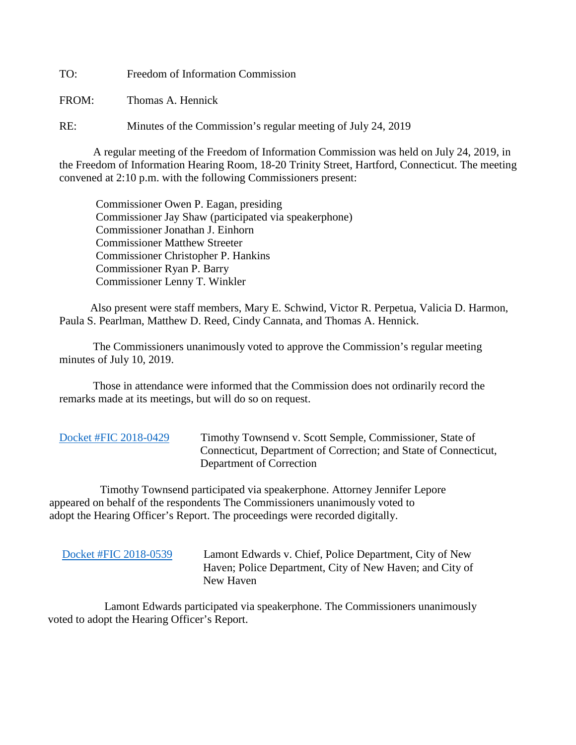TO: Freedom of Information Commission

FROM: Thomas A. Hennick

RE: Minutes of the Commission's regular meeting of July 24, 2019

A regular meeting of the Freedom of Information Commission was held on July 24, 2019, in the Freedom of Information Hearing Room, 18-20 Trinity Street, Hartford, Connecticut. The meeting convened at 2:10 p.m. with the following Commissioners present:

 Commissioner Owen P. Eagan, presiding Commissioner Jay Shaw (participated via speakerphone) Commissioner Jonathan J. Einhorn Commissioner Matthew Streeter Commissioner Christopher P. Hankins Commissioner Ryan P. Barry Commissioner Lenny T. Winkler

 Also present were staff members, Mary E. Schwind, Victor R. Perpetua, Valicia D. Harmon, Paula S. Pearlman, Matthew D. Reed, Cindy Cannata, and Thomas A. Hennick.

The Commissioners unanimously voted to approve the Commission's regular meeting minutes of July 10, 2019.

 Those in attendance were informed that the Commission does not ordinarily record the remarks made at its meetings, but will do so on request.

[Docket #FIC 2018-0429](https://portal.ct.gov/-/media/FOI/Minutes/2019/July24/2018-0429.pdf) Timothy Townsend v. Scott Semple, Commissioner, State of Connecticut, Department of Correction; and State of Connecticut, Department of Correction

 Timothy Townsend participated via speakerphone. Attorney Jennifer Lepore appeared on behalf of the respondents The Commissioners unanimously voted to adopt the Hearing Officer's Report. The proceedings were recorded digitally.

 [Docket #FIC 2018-0539](https://portal.ct.gov/-/media/FOI/Minutes/2019/July24/2018-0539.pdf) Lamont Edwards v. Chief, Police Department, City of New Haven; Police Department, City of New Haven; and City of New Haven

 Lamont Edwards participated via speakerphone. The Commissioners unanimously voted to adopt the Hearing Officer's Report.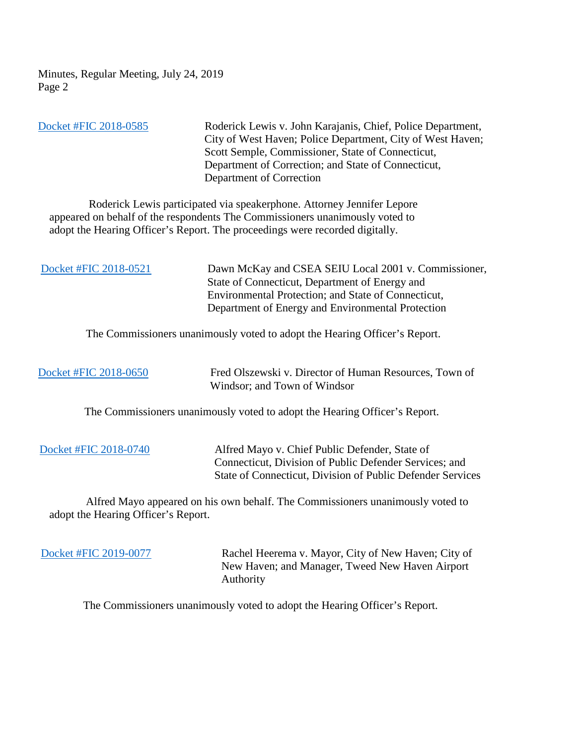Minutes, Regular Meeting, July 24, 2019 Page 2

 [Docket #FIC 2018-0585](https://portal.ct.gov/-/media/FOI/Minutes/2019/July24/2018-0585.pdf) Roderick Lewis v. John Karajanis, Chief, Police Department, City of West Haven; Police Department, City of West Haven; Scott Semple, Commissioner, State of Connecticut, Department of Correction; and State of Connecticut, Department of Correction

 Roderick Lewis participated via speakerphone. Attorney Jennifer Lepore appeared on behalf of the respondents The Commissioners unanimously voted to adopt the Hearing Officer's Report. The proceedings were recorded digitally.

[Docket #FIC 2018-0521](https://portal.ct.gov/-/media/FOI/Minutes/2019/July24/2018-0521.pdf) Dawn McKay and CSEA SEIU Local 2001 v. Commissioner, State of Connecticut, Department of Energy and Environmental Protection; and State of Connecticut, Department of Energy and Environmental Protection

The Commissioners unanimously voted to adopt the Hearing Officer's Report.

 [Docket #FIC 2018-0650](https://portal.ct.gov/-/media/FOI/Minutes/2019/July24/2018-0650.pdf) Fred Olszewski v. Director of Human Resources, Town of Windsor; and Town of Windsor

The Commissioners unanimously voted to adopt the Hearing Officer's Report.

 [Docket #FIC 2018-0740](https://portal.ct.gov/-/media/FOI/Minutes/2019/July24/2018-0740.pdf) Alfred Mayo v. Chief Public Defender, State of Connecticut, Division of Public Defender Services; and State of Connecticut, Division of Public Defender Services

 Alfred Mayo appeared on his own behalf. The Commissioners unanimously voted to adopt the Hearing Officer's Report.

[Docket #FIC 2019-0077](https://portal.ct.gov/-/media/FOI/Minutes/2019/July24/2019-0077.pdf) Rachel Heerema v. Mayor, City of New Haven; City of New Haven; and Manager, Tweed New Haven Airport Authority

The Commissioners unanimously voted to adopt the Hearing Officer's Report.